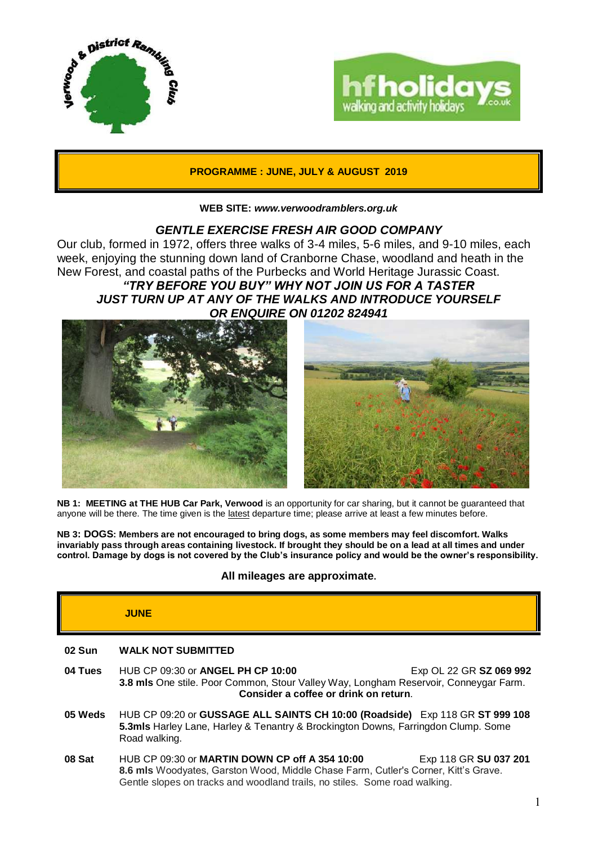



## **PROGRAMME : JUNE, JULY & AUGUST 2019**

#### **WEB SITE:** *[www.verwoodramblers.org.uk](http://www.verwoodramblers.org.uk/)*

## *GENTLE EXERCISE FRESH AIR GOOD COMPANY*

Our club, formed in 1972, offers three walks of 3-4 miles, 5-6 miles, and 9-10 miles, each week, enjoying the stunning down land of Cranborne Chase, woodland and heath in the New Forest, and coastal paths of the Purbecks and World Heritage Jurassic Coast. *"TRY BEFORE YOU BUY" WHY NOT JOIN US FOR A TASTER JUST TURN UP AT ANY OF THE WALKS AND INTRODUCE YOURSELF OR ENQUIRE ON 01202 824941*



**NB 1: MEETING at THE HUB Car Park, Verwood** is an opportunity for car sharing, but it cannot be guaranteed that anyone will be there. The time given is the latest departure time; please arrive at least a few minutes before.

**NB 3: DOGS: Members are not encouraged to bring dogs, as some members may feel discomfort. Walks invariably pass through areas containing livestock. If brought they should be on a lead at all times and under control. Damage by dogs is not covered by the Club's insurance policy and would be the owner's responsibility.**

## **All mileages are approximate.**

## **JUNE**

| <b>WALK NOT SUBMITTED</b><br>02 Sun |
|-------------------------------------|
|-------------------------------------|

- **04 Tues** HUB CP 09:30 or **ANGEL PH CP 10:00** Exp OL 22 GR **SZ 069 992 3.8 mls** One stile. Poor Common, Stour Valley Way, Longham Reservoir, Conneygar Farm. **Consider a coffee or drink on return**.
- **05 Weds** HUB CP 09:20 or **GUSSAGE ALL SAINTS CH 10:00 (Roadside)** Exp 118 GR **ST 999 108 5.3mls** Harley Lane, Harley & Tenantry & Brockington Downs, Farringdon Clump. Some Road walking.
- **08 Sat HUB CP 09:30 or MARTIN DOWN CP off A 354 10:00** Exp 118 GR SU 037 201 **8.6 mls** Woodyates, Garston Wood, Middle Chase Farm, Cutler's Corner, Kitt's Grave. Gentle slopes on tracks and woodland trails, no stiles. Some road walking.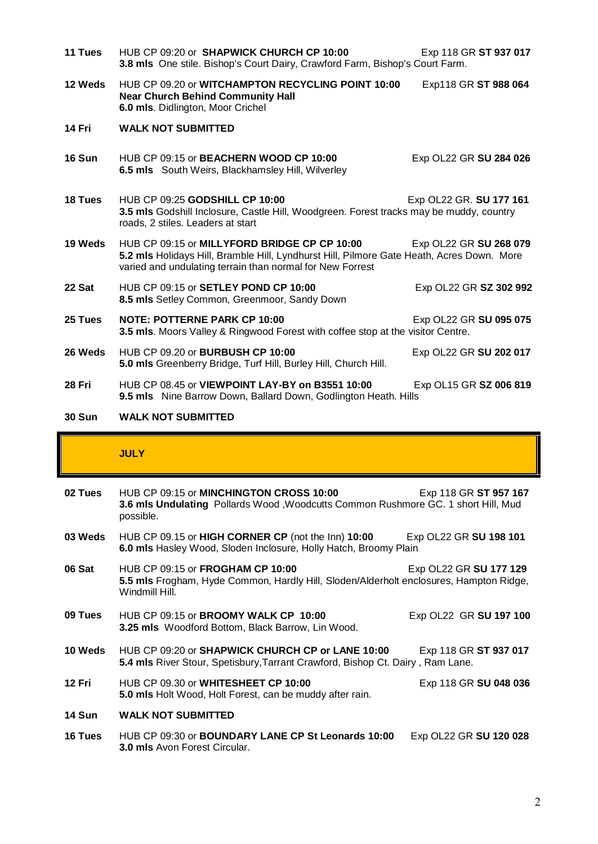| 11 Tues       | HUB CP 09:20 or SHAPWICK CHURCH CP 10:00<br>3.8 mls One stile. Bishop's Court Dairy, Crawford Farm, Bishop's Court Farm.                                                                               | Exp 118 GR ST 937 017   |
|---------------|--------------------------------------------------------------------------------------------------------------------------------------------------------------------------------------------------------|-------------------------|
| 12 Weds       | HUB CP 09.20 or WITCHAMPTON RECYCLING POINT 10:00<br><b>Near Church Behind Community Hall</b><br>6.0 mls. Didlington, Moor Crichel                                                                     | Exp118 GR ST 988 064    |
| 14 Fri        | <b>WALK NOT SUBMITTED</b>                                                                                                                                                                              |                         |
| <b>16 Sun</b> | HUB CP 09:15 or <b>BEACHERN WOOD CP 10:00</b><br>6.5 mls South Weirs, Blackhamsley Hill, Wilverley                                                                                                     | Exp OL22 GR SU 284 026  |
| 18 Tues       | HUB CP 09:25 GODSHILL CP 10:00<br>3.5 mls Godshill Inclosure, Castle Hill, Woodgreen. Forest tracks may be muddy, country<br>roads, 2 stiles. Leaders at start                                         | Exp OL22 GR. SU 177 161 |
| 19 Weds       | HUB CP 09:15 or MILLYFORD BRIDGE CP CP 10:00<br>5.2 mls Holidays Hill, Bramble Hill, Lyndhurst Hill, Pilmore Gate Heath, Acres Down. More<br>varied and undulating terrain than normal for New Forrest | Exp OL22 GR SU 268 079  |
| 22 Sat        | HUB CP 09:15 or SETLEY POND CP 10:00<br>8.5 mls Setley Common, Greenmoor, Sandy Down                                                                                                                   | Exp OL22 GR SZ 302 992  |
| 25 Tues       | <b>NOTE: POTTERNE PARK CP 10:00</b><br>3.5 mls. Moors Valley & Ringwood Forest with coffee stop at the visitor Centre.                                                                                 | Exp OL22 GR SU 095 075  |
| 26 Weds       | HUB CP 09.20 or <b>BURBUSH CP 10:00</b><br>5.0 mls Greenberry Bridge, Turf Hill, Burley Hill, Church Hill.                                                                                             | Exp OL22 GR SU 202 017  |
| 28 Fri        | HUB CP 08.45 or VIEWPOINT LAY-BY on B3551 10:00<br>9.5 mls Nine Barrow Down, Ballard Down, Godlington Heath. Hills                                                                                     | Exp OL15 GR SZ 006 819  |
| <b>30 Sun</b> | <b>WALK NOT SUBMITTED</b>                                                                                                                                                                              |                         |

# **JULY**

| 02 Tues        | HUB CP 09:15 or MINCHINGTON CROSS 10:00<br>3.6 mls Undulating Pollards Wood, Woodcutts Common Rushmore GC. 1 short Hill, Mud<br>possible.           | Exp 118 GR ST 957 167  |
|----------------|-----------------------------------------------------------------------------------------------------------------------------------------------------|------------------------|
| 03 Weds        | HUB CP 09.15 or HIGH CORNER CP (not the lnn) 10:00<br>6.0 mls Hasley Wood, Sloden Inclosure, Holly Hatch, Broomy Plain                              | Exp OL22 GR SU 198 101 |
| 06 Sat         | HUB CP 09:15 or <b>FROGHAM CP 10:00</b><br>5.5 mls Frogham, Hyde Common, Hardly Hill, Sloden/Alderholt enclosures, Hampton Ridge,<br>Windmill Hill. | Exp OL22 GR SU 177 129 |
| 09 Tues        | HUB CP 09:15 or <b>BROOMY WALK CP 10:00</b><br>3.25 mls Woodford Bottom, Black Barrow, Lin Wood.                                                    | Exp OL22 GR SU 197 100 |
| 10 Weds        | HUB CP 09:20 or SHAPWICK CHURCH CP or LANE 10:00<br>5.4 mls River Stour, Spetisbury, Tarrant Crawford, Bishop Ct. Dairy, Ram Lane.                  | Exp 118 GR ST 937 017  |
| 12 Fri         | HUB CP 09.30 or WHITESHEET CP 10:00<br>5.0 mls Holt Wood, Holt Forest, can be muddy after rain.                                                     | Exp 118 GR SU 048 036  |
| <b>14 Sun</b>  | <b>WALK NOT SUBMITTED</b>                                                                                                                           |                        |
| <b>16 Tues</b> | HUB CP 09:30 or <b>BOUNDARY LANE CP St Leonards 10:00</b><br><b>3.0 mls</b> Avon Forest Circular.                                                   | Exp OL22 GR SU 120 028 |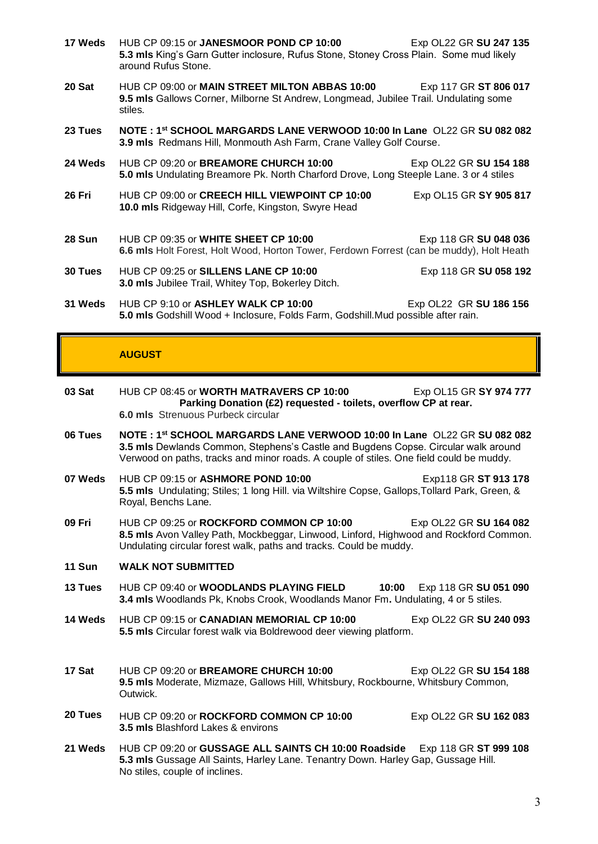**17 Weds** HUB CP 09:15 or **JANESMOOR POND CP 10:00** Exp OL22 GR **SU 247 135 5.3 mls** King's Garn Gutter inclosure, Rufus Stone, Stoney Cross Plain. Some mud likely around Rufus Stone. **20 Sat** HUB CP 09:00 or **MAIN STREET MILTON ABBAS 10:00** Exp 117 GR **ST 806 017 9.5 mls** Gallows Corner, Milborne St Andrew, Longmead, Jubilee Trail. Undulating some stiles. **23 Tues NOTE : 1st SCHOOL MARGARDS LANE VERWOOD 10:00 In Lane** OL22 GR **SU 082 082 3.9 mls** Redmans Hill, Monmouth Ash Farm, Crane Valley Golf Course. **24 Weds** HUB CP 09:20 or **BREAMORE CHURCH 10:00** Exp OL22 GR **SU 154 188 5.0 mls** Undulating Breamore Pk. North Charford Drove, Long Steeple Lane. 3 or 4 stiles **26 Fri** HUB CP 09:00 or **CREECH HILL VIEWPOINT CP 10:00** Exp OL15 GR **SY 905 817 10.0 mls** Ridgeway Hill, Corfe, Kingston, Swyre Head **28 Sun HUB CP 09:35 or WHITE SHEET CP 10:00** Exp 118 GR SU 048 036 **6.6 mls** Holt Forest, Holt Wood, Horton Tower, Ferdown Forrest (can be muddy), Holt Heath **30 Tues** HUB CP 09:25 or **SILLENS LANE CP 10:00** Exp 118 GR **SU 058 192 3.0 mls** Jubilee Trail, Whitey Top, Bokerley Ditch. **31 Weds** HUB CP 9:10 or **ASHLEY WALK CP 10:00** Exp OL22 GR **SU 186 156 5.0 mls** Godshill Wood + Inclosure, Folds Farm, Godshill.Mud possible after rain.

## **AUGUST**

- **03 Sat** HUB CP 08:45 or **WORTH MATRAVERS CP 10:00** Exp OL15 GR **SY 974 777 Parking Donation (£2) requested - toilets, overflow CP at rear. 6.0 mls** Strenuous Purbeck circular
- **06 Tues NOTE : 1st SCHOOL MARGARDS LANE VERWOOD 10:00 In Lane** OL22 GR **SU 082 082 3.5 mls** Dewlands Common, Stephens's Castle and Bugdens Copse. Circular walk around Verwood on paths, tracks and minor roads. A couple of stiles. One field could be muddy.
- **07 Weds** HUB CP 09:15 or **ASHMORE POND 10:00 Exp118 GR ST 913 178 5.5 mls** Undulating; Stiles; 1 long Hill. via Wiltshire Copse, Gallops,Tollard Park, Green, & Royal, Benchs Lane.
- **09 Fri** HUB CP 09:25 or **ROCKFORD COMMON CP 10:00** Exp OL22 GR **SU 164 082 8.5 mls** Avon Valley Path, Mockbeggar, Linwood, Linford, Highwood and Rockford Common. Undulating circular forest walk, paths and tracks. Could be muddy.

### **11 Sun WALK NOT SUBMITTED**

- **13 Tues** HUB CP 09:40 or **WOODLANDS PLAYING FIELD 10:00** Exp 118 GR **SU 051 090 3.4 mls** Woodlands Pk, Knobs Crook, Woodlands Manor Fm**.** Undulating, 4 or 5 stiles.
- **14 Weds** HUB CP 09:15 or **CANADIAN MEMORIAL CP 10:00** Exp OL22 GR **SU 240 093 5.5 mls** Circular forest walk via Boldrewood deer viewing platform.
- **17 Sat** HUB CP 09:20 or **BREAMORE CHURCH 10:00** Exp OL22 GR **SU 154 188 9.5 mls** Moderate, Mizmaze, Gallows Hill, Whitsbury, Rockbourne, Whitsbury Common, Outwick.
- **20 Tues** HUB CP 09:20 or **ROCKFORD COMMON CP 10:00** Exp OL22 GR **SU 162 083 3.5 mls** Blashford Lakes & environs
- **21 Weds** HUB CP 09:20 or **GUSSAGE ALL SAINTS CH 10:00 Roadside** Exp 118 GR **ST 999 108 5.3 mls** Gussage All Saints, Harley Lane. Tenantry Down. Harley Gap, Gussage Hill. No stiles, couple of inclines.